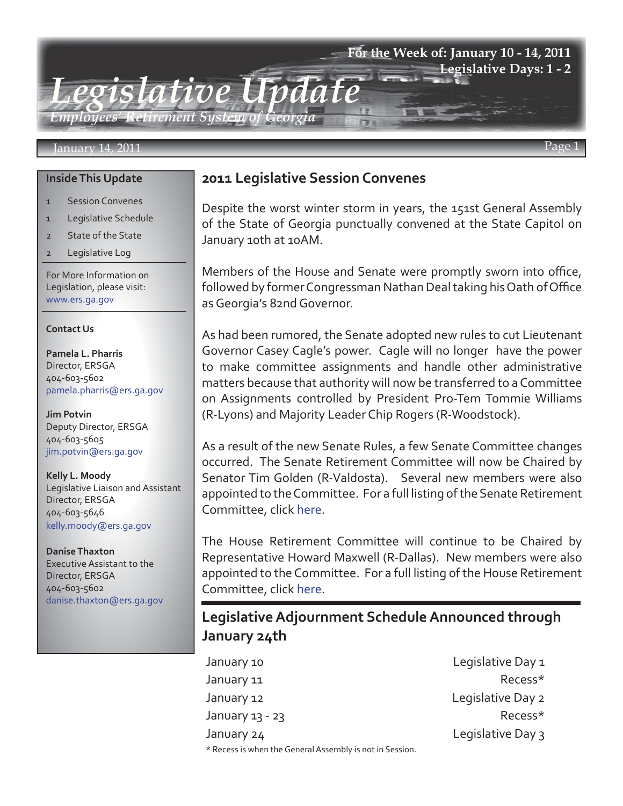### **For the Week of: January 10 - 14, 2011 Legislative Days: 1 - 2**

*Legislative Update Employees' Retirement System of Georgia*

#### January 14, 2011

#### **Inside This Update**

- 1 Session Convenes
- 1 Legislative Schedule
- 2 State of the State
- 2 Legislative Log

For More Information on Legislation, please visit: www.ers.ga.gov

#### **Contact Us**

**Pamela L. Pharris** Director, ERSGA 404-603-5602 pamela.pharris@ers.ga.gov

**Jim Potvin** Deputy Director, ERSGA 404-603-5605 jim.potvin@ers.ga.gov

**Kelly L. Moody** Legislative Liaison and Assistant Director, ERSGA 404-603-5646 kelly.moody@ers.ga.gov

**Danise Thaxton** Executive Assistant to the Director, ERSGA 404-603-5602 danise.thaxton@ers.ga.gov

## **2011 Legislative Session Convenes**

Despite the worst winter storm in years, the 151st General Assembly of the State of Georgia punctually convened at the State Capitol on January 10th at 10AM.

Members of the House and Senate were promptly sworn into office, followed by former Congressman Nathan Deal taking his Oath of Office as Georgia's 82nd Governor.

As had been rumored, the Senate adopted new rules to cut Lieutenant Governor Casey Cagle's power. Cagle will no longer have the power to make committee assignments and handle other administrative matters because that authority will now be transferred to a Committee on Assignments controlled by President Pro-Tem Tommie Williams (R-Lyons) and Majority Leader Chip Rogers (R-Woodstock).

As a result of the new Senate Rules, a few Senate Committee changes occurred. The Senate Retirement Committee will now be Chaired by Senator Tim Golden (R-Valdosta). Several new members were also appointed to the Committee. For a full listing of the Senate Retirement Committee, click [here.](http://www.ers.ga.gov/legislation/updates/Senate Retirement Committee Members.pdf)

The House Retirement Committee will continue to be Chaired by Representative Howard Maxwell (R-Dallas). New members were also appointed to the Committee. For a full listing of the House Retirement Committee, click [here.](http://www.ers.ga.gov/legislation/updates/House Retirement Committee.pdf)

**Legislative Adjournment Schedule Announced through January 24th**

January 10 **Legislative Day 1** January 11 **Recess**\* January 12 **Legislative Day 2** January 13 - 23 Recess\* January 24 **Legislative Day 3** 

\* Recess is when the General Assembly is not in Session.